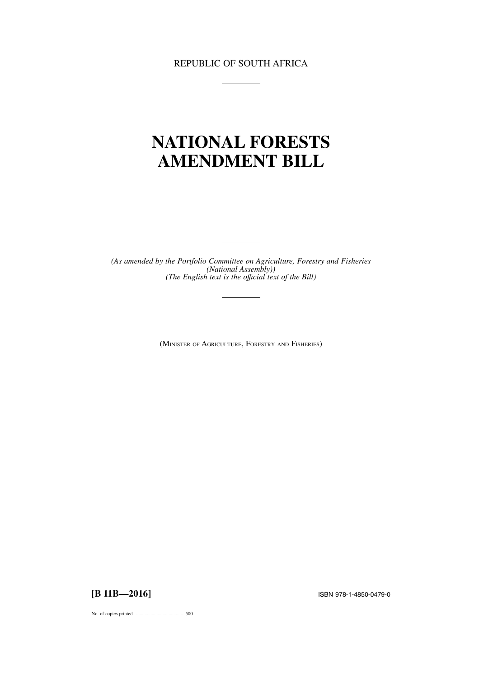REPUBLIC OF SOUTH AFRICA

# **NATIONAL FORESTS AMENDMENT BILL**

*(As amended by the Portfolio Committee on Agriculture, Forestry and Fisheries (National Assembly)) (The English text is the offıcial text of the Bill)*

(MINISTER OF AGRICULTURE, FORESTRY AND FISHERIES)

**[B 11B—2016]** ISBN 978-1-4850-0479-0

No. of copies printed ....................................... 500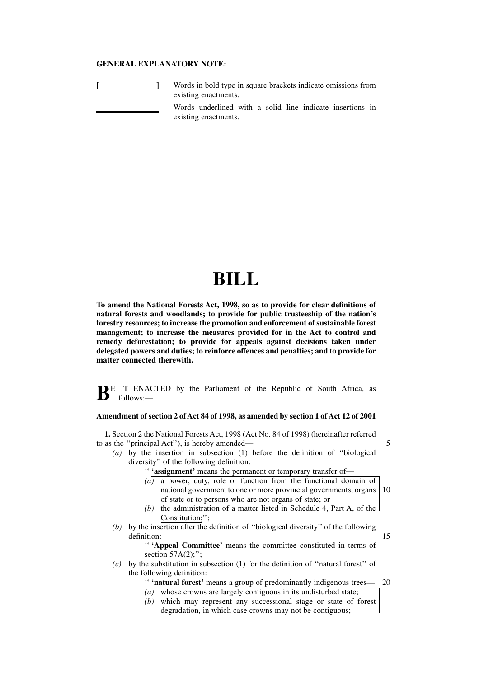### **GENERAL EXPLANATORY NOTE:**

|  | Words in bold type in square brackets indicate omissions from<br>existing enactments. |
|--|---------------------------------------------------------------------------------------|
|  | Words underlined with a solid line indicate insertions in<br>existing enactments.     |

# **BILL**

**To amend the National Forests Act, 1998, so as to provide for clear definitions of natural forests and woodlands; to provide for public trusteeship of the nation's forestry resources; to increase the promotion and enforcement of sustainable forest management; to increase the measures provided for in the Act to control and remedy deforestation; to provide for appeals against decisions taken under delegated powers and duties; to reinforce offences and penalties; and to provide for matter connected therewith.**

**BE** IT ENACTED by the Parliament of the Republic of South Africa, as follows:—

#### **Amendment of section 2 of Act 84 of 1998, as amended by section 1 of Act 12 of 2001**

**1.** Section 2 the National Forests Act, 1998 (Act No. 84 of 1998) (hereinafter referred to as the ''principal Act''), is hereby amended—

*(a)* by the insertion in subsection (1) before the definition of ''biological diversity'' of the following definition:

'' **'assignment'** means the permanent or temporary transfer of—

*(a)* a power, duty, role or function from the functional domain of national government to one or more provincial governments, organs of state or to persons who are not organs of state; or 10

5

- *(b)* the administration of a matter listed in Schedule 4, Part A, of the Constitution;'';
- *(b)* by the insertion after the definition of ''biological diversity'' of the following definition: 15

'' **'Appeal Committee'** means the committee constituted in terms of section  $57A(2)$ ;";

*(c)* by the substitution in subsection (1) for the definition of ''natural forest'' of the following definition:

> '' **'natural forest'** means a group of predominantly indigenous trees— 20

- $(a)$  whose crowns are largely contiguous in its undisturbed state;
- *(b)* which may represent any successional stage or state of forest degradation, in which case crowns may not be contiguous;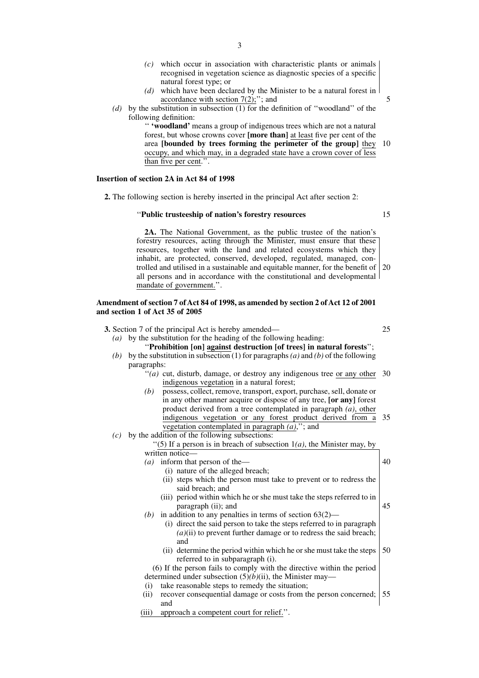- *(c)* which occur in association with characteristic plants or animals recognised in vegetation science as diagnostic species of a specific natural forest type; or
- *(d)* which have been declared by the Minister to be a natural forest in accordance with section  $7(2)$ ;"; and
- *(d)* by the substitution in subsection (1) for the definition of ''woodland'' of the following definition:

'' **'woodland'** means a group of indigenous trees which are not a natural forest, but whose crowns cover **[more than]** at least five per cent of the area **[bounded by trees forming the perimeter of the group]** they occupy, and which may, in a degraded state have a crown cover of less than five per cent.''. 10

# **Insertion of section 2A in Act 84 of 1998**

**2.** The following section is hereby inserted in the principal Act after section 2:

#### ''**Public trusteeship of nation's forestry resources**

15

**2A.** The National Government, as the public trustee of the nation's forestry resources, acting through the Minister, must ensure that these resources, together with the land and related ecosystems which they inhabit, are protected, conserved, developed, regulated, managed, controlled and utilised in a sustainable and equitable manner, for the benefit of 20 all persons and in accordance with the constitutional and developmental mandate of government.''.

# **Amendment of section 7 of Act 84 of 1998, as amended by section 2 of Act 12 of 2001 and section 1 of Act 35 of 2005**

|     | 3. Section 7 of the principal Act is hereby amended—                                                                                   | 25 |
|-----|----------------------------------------------------------------------------------------------------------------------------------------|----|
| (a) | by the substitution for the heading of the following heading:<br>"Prohibition [on] against destruction [of trees] in natural forests"; |    |
| (b) | by the substitution in subsection (1) for paragraphs (a) and (b) of the following                                                      |    |
|     | paragraphs:                                                                                                                            |    |
|     | "(a) cut, disturb, damage, or destroy any indigenous tree or any other $30$<br>indigenous vegetation in a natural forest;              |    |
|     | possess, collect, remove, transport, export, purchase, sell, donate or<br>(b)                                                          |    |
|     | in any other manner acquire or dispose of any tree, [or any] forest                                                                    |    |
|     | product derived from a tree contemplated in paragraph $(a)$ , other                                                                    |    |
|     | indigenous vegetation or any forest product derived from a                                                                             | 35 |
|     | vegetation contemplated in paragraph $(a)$ ,"; and                                                                                     |    |
| (c) | by the addition of the following subsections:                                                                                          |    |
|     | "(5) If a person is in breach of subsection $1(a)$ , the Minister may, by                                                              |    |
|     | written notice-                                                                                                                        |    |
|     | (a) inform that person of the-                                                                                                         | 40 |
|     | (i) nature of the alleged breach;                                                                                                      |    |
|     | (ii) steps which the person must take to prevent or to redress the<br>said breach; and                                                 |    |
|     | (iii) period within which he or she must take the steps referred to in<br>paragraph (ii); and                                          | 45 |
|     | in addition to any penalties in terms of section $63(2)$ —<br>(b)                                                                      |    |
|     | (i) direct the said person to take the steps referred to in paragraph                                                                  |    |
|     | $(a)(ii)$ to prevent further damage or to redress the said breach;<br>and                                                              |    |
|     | (ii) determine the period within which he or she must take the steps                                                                   | 50 |
|     | referred to in subparagraph (i).                                                                                                       |    |
|     | (6) If the person fails to comply with the directive within the period                                                                 |    |
|     | determined under subsection $(5)(b)(ii)$ , the Minister may—                                                                           |    |
|     | take reasonable steps to remedy the situation;<br>(i)                                                                                  |    |
|     | recover consequential damage or costs from the person concerned;<br>(ii)                                                               | 55 |
|     | and                                                                                                                                    |    |
|     | approach a competent court for relief.".<br>(iii)                                                                                      |    |
|     |                                                                                                                                        |    |
|     |                                                                                                                                        |    |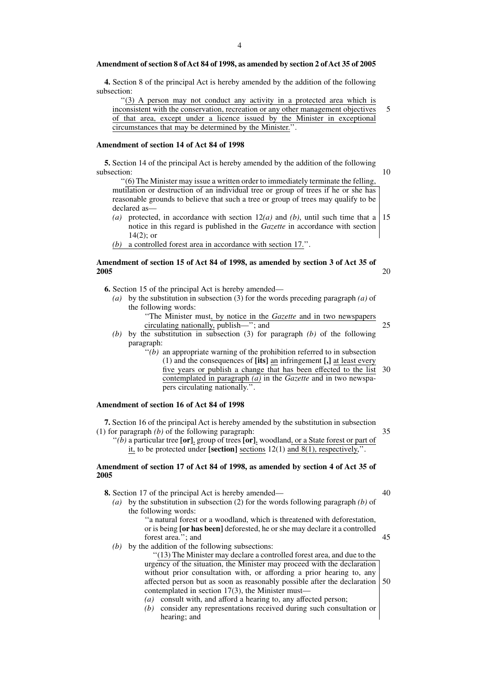#### **Amendment of section 8 of Act 84 of 1998, as amended by section 2 of Act 35 of 2005**

**4.** Section 8 of the principal Act is hereby amended by the addition of the following subsection:

''(3) A person may not conduct any activity in a protected area which is inconsistent with the conservation, recreation or any other management objectives of that area, except under a licence issued by the Minister in exceptional circumstances that may be determined by the Minister.''. 5

# **Amendment of section 14 of Act 84 of 1998**

**5.** Section 14 of the principal Act is hereby amended by the addition of the following subsection:

''(6) The Minister may issue a written order to immediately terminate the felling, mutilation or destruction of an individual tree or group of trees if he or she has reasonable grounds to believe that such a tree or group of trees may qualify to be declared as—

- *(a)* protected, in accordance with section 12*(a)* and *(b)*, until such time that a notice in this regard is published in the *Gazette* in accordance with section  $14(2)$ ; or 15
- *(b)* a controlled forest area in accordance with section 17.''.

# **Amendment of section 15 of Act 84 of 1998, as amended by section 3 of Act 35 of 2005**

**6.** Section 15 of the principal Act is hereby amended—

- *(a)* by the substitution in subsection (3) for the words preceding paragraph *(a)* of the following words:
	- ''The Minister must, by notice in the *Gazette* and in two newspapers circulating nationally, publish—''; and
- *(b)* by the substitution in subsection (3) for paragraph *(b)* of the following paragraph:
	- $\cdot$ <sup>''</sup>( $\overline{b}$ ) an appropriate warning of the prohibition referred to in subsection (1) and the consequences of **[its]** an infringement **[,]** at least every five years or publish a change that has been effected to the list contemplated in paragraph *(a)* in the *Gazette* and in two newspapers circulating nationally.''. 30

# **Amendment of section 16 of Act 84 of 1998**

**7.** Section 16 of the principal Act is hereby amended by the substitution in subsection (1) for paragraph *(b)* of the following paragraph:

35

10

20

25

''*(b)* a particular tree **[or]**, group of trees **[or]**, woodland, or a State forest or part of it, to be protected under **[section]** sections 12(1) and 8(1), respectively,''.

# **Amendment of section 17 of Act 84 of 1998, as amended by section 4 of Act 35 of 2005**

**8.** Section 17 of the principal Act is hereby amended—

45

*(a)* by the substitution in subsection (2) for the words following paragraph *(b)* of the following words:

> ''a natural forest or a woodland, which is threatened with deforestation, or is being **[or has been]** deforested, he or she may declare it a controlled forest area.''; and

*(b)* by the addition of the following subsections:

''(13) The Minister may declare a controlled forest area, and due to the urgency of the situation, the Minister may proceed with the declaration without prior consultation with, or affording a prior hearing to, any affected person but as soon as reasonably possible after the declaration contemplated in section 17(3), the Minister must— 50

- *(a)* consult with, and afford a hearing to, any affected person;
- *(b)* consider any representations received during such consultation or hearing; and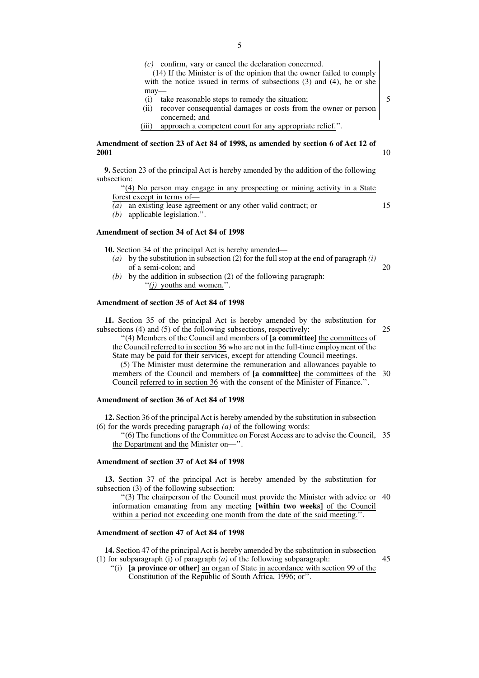(14) If the Minister is of the opinion that the owner failed to comply with the notice issued in terms of subsections (3) and (4), he or she may—

- (i) take reasonable steps to remedy the situation;
- (ii) recover consequential damages or costs from the owner or person concerned; and
- (iii) approach a competent court for any appropriate relief.''.

#### **Amendment of section 23 of Act 84 of 1998, as amended by section 6 of Act 12 of 2001** 10

**9.** Section 23 of the principal Act is hereby amended by the addition of the following subsection:

|                            | "(4) No person may engage in any prospecting or mining activity in a State |  |  |  |
|----------------------------|----------------------------------------------------------------------------|--|--|--|
| forest except in terms of— |                                                                            |  |  |  |
|                            | (a) an existing lease agreement or any other valid contract; or            |  |  |  |
|                            | (b) applicable legislation.".                                              |  |  |  |

#### **Amendment of section 34 of Act 84 of 1998**

**10.** Section 34 of the principal Act is hereby amended—

- *(a)* by the substitution in subsection (2) for the full stop at the end of paragraph *(i)* of a semi-colon; and 20
- *(b)* by the addition in subsection (2) of the following paragraph: ''*(j)* youths and women.''.

# **Amendment of section 35 of Act 84 of 1998**

**11.** Section 35 of the principal Act is hereby amended by the substitution for subsections (4) and (5) of the following subsections, respectively:

25

5

15

''(4) Members of the Council and members of **[a committee]** the committees of the Council referred to in section 36 who are not in the full-time employment of the State may be paid for their services, except for attending Council meetings.

(5) The Minister must determine the remuneration and allowances payable to members of the Council and members of **[a committee]** the committees of the 30 Council referred to in section 36 with the consent of the Minister of Finance.''.

#### **Amendment of section 36 of Act 84 of 1998**

**12.** Section 36 of the principal Act is hereby amended by the substitution in subsection (6) for the words preceding paragraph *(a)* of the following words:

''(6) The functions of the Committee on Forest Access are to advise the Council, 35 the Department and the Minister on—''.

#### **Amendment of section 37 of Act 84 of 1998**

**13.** Section 37 of the principal Act is hereby amended by the substitution for subsection (3) of the following subsection:

''(3) The chairperson of the Council must provide the Minister with advice or 40 information emanating from any meeting **[within two weeks]** of the Council within a period not exceeding one month from the date of the said meeting.".

# **Amendment of section 47 of Act 84 of 1998**

**14.** Section 47 of the principal Act is hereby amended by the substitution in subsection (1) for subparagraph (i) of paragraph *(a)* of the following subparagraph:

- 45
- ''(i) **[a province or other]** an organ of State in accordance with section 99 of the Constitution of the Republic of South Africa, 1996; or''.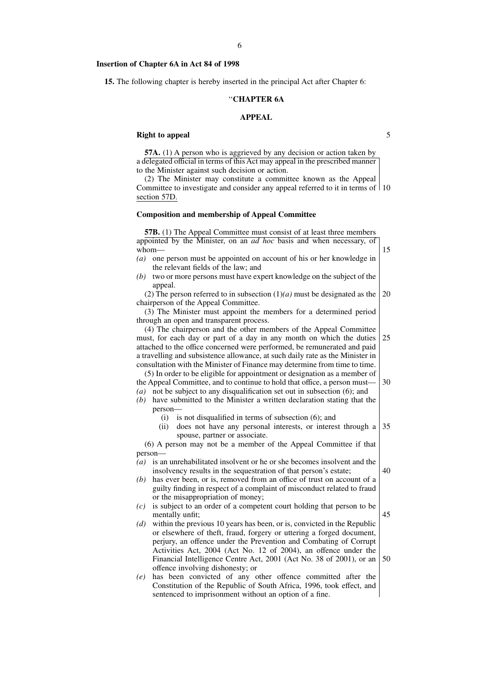#### **Insertion of Chapter 6A in Act 84 of 1998**

**15.** The following chapter is hereby inserted in the principal Act after Chapter 6:

#### ''**CHAPTER 6A**

#### **APPEAL**

5

#### **Right to appeal**

**57A.** (1) A person who is aggrieved by any decision or action taken by a delegated official in terms of this Act may appeal in the prescribed manner to the Minister against such decision or action.

(2) The Minister may constitute a committee known as the Appeal Committee to investigate and consider any appeal referred to it in terms of 10 section 57D.

#### **Composition and membership of Appeal Committee**

**57B.** (1) The Appeal Committee must consist of at least three members appointed by the Minister, on an *ad hoc* basis and when necessary, of whom— *(a)* one person must be appointed on account of his or her knowledge in the relevant fields of the law; and *(b)* two or more persons must have expert knowledge on the subject of the appeal. (2) The person referred to in subsection (1)*(a)* must be designated as the chairperson of the Appeal Committee. (3) The Minister must appoint the members for a determined period through an open and transparent process. (4) The chairperson and the other members of the Appeal Committee must, for each day or part of a day in any month on which the duties attached to the office concerned were performed, be remunerated and paid a travelling and subsistence allowance, at such daily rate as the Minister in consultation with the Minister of Finance may determine from time to time. (5) In order to be eligible for appointment or designation as a member of the Appeal Committee, and to continue to hold that office, a person must— *(a)* not be subject to any disqualification set out in subsection (6); and *(b)* have submitted to the Minister a written declaration stating that the person— (i) is not disqualified in terms of subsection (6); and (ii) does not have any personal interests, or interest through a spouse, partner or associate. (6) A person may not be a member of the Appeal Committee if that person— *(a)* is an unrehabilitated insolvent or he or she becomes insolvent and the insolvency results in the sequestration of that person's estate; *(b)* has ever been, or is, removed from an office of trust on account of a guilty finding in respect of a complaint of misconduct related to fraud or the misappropriation of money; *(c)* is subject to an order of a competent court holding that person to be mentally unfit; *(d)* within the previous 10 years has been, or is, convicted in the Republic or elsewhere of theft, fraud, forgery or uttering a forged document, perjury, an offence under the Prevention and Combating of Corrupt Activities Act, 2004 (Act No. 12 of 2004), an offence under the Financial Intelligence Centre Act, 2001 (Act No. 38 of 2001), or an offence involving dishonesty; or *(e)* has been convicted of any other offence committed after the Constitution of the Republic of South Africa, 1996, took effect, and sentenced to imprisonment without an option of a fine. 15 20 25 30 35 40 45 50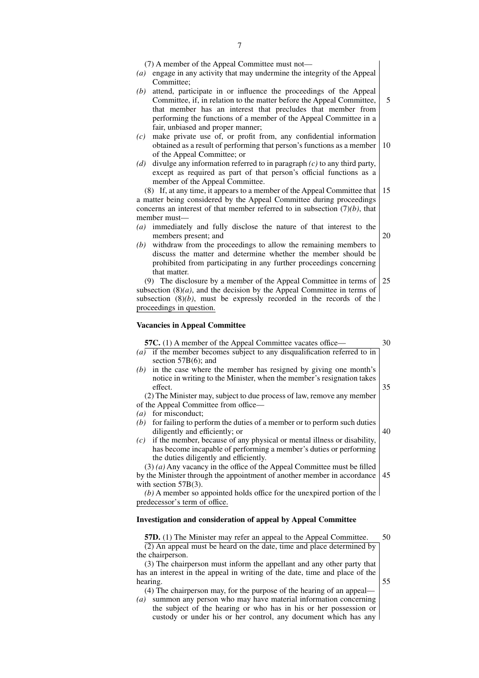(7) A member of the Appeal Committee must not—

- *(a)* engage in any activity that may undermine the integrity of the Appeal Committee;
- *(b)* attend, participate in or influence the proceedings of the Appeal Committee, if, in relation to the matter before the Appeal Committee, that member has an interest that precludes that member from performing the functions of a member of the Appeal Committee in a fair, unbiased and proper manner; 5
- *(c)* make private use of, or profit from, any confidential information obtained as a result of performing that person's functions as a member of the Appeal Committee; or 10
- *(d)* divulge any information referred to in paragraph *(c)* to any third party, except as required as part of that person's official functions as a member of the Appeal Committee.

(8) If, at any time, it appears to a member of the Appeal Committee that a matter being considered by the Appeal Committee during proceedings concerns an interest of that member referred to in subsection (7)*(b)*, that member must— 15

- *(a)* immediately and fully disclose the nature of that interest to the members present; and 20
- *(b)* withdraw from the proceedings to allow the remaining members to discuss the matter and determine whether the member should be prohibited from participating in any further proceedings concerning that matter.

(9) The disclosure by a member of the Appeal Committee in terms of subsection  $(8)(a)$ , and the decision by the Appeal Committee in terms of subsection  $(8)(b)$ , must be expressly recorded in the records of the proceedings in question. 25

#### **Vacancies in Appeal Committee**

#### **57C.** (1) A member of the Appeal Committee vacates office-*(a)* if the member becomes subject to any disqualification referred to in section 57B(6); and *(b)* in the case where the member has resigned by giving one month's notice in writing to the Minister, when the member's resignation takes effect. (2) The Minister may, subject to due process of law, remove any member of the Appeal Committee from office— *(a)* for misconduct; *(b)* for failing to perform the duties of a member or to perform such duties diligently and efficiently; or *(c)* if the member, because of any physical or mental illness or disability, has become incapable of performing a member's duties or performing the duties diligently and efficiently. 35 40

(3) *(a)* Any vacancy in the office of the Appeal Committee must be filled by the Minister through the appointment of another member in accordance 45 with section 57B(3).

*(b)* A member so appointed holds office for the unexpired portion of the predecessor's term of office.

#### **Investigation and consideration of appeal by Appeal Committee**

**57D.** (1) The Minister may refer an appeal to the Appeal Committee. (2) An appeal must be heard on the date, time and place determined by the chairperson.

50

55

(3) The chairperson must inform the appellant and any other party that has an interest in the appeal in writing of the date, time and place of the hearing.

(4) The chairperson may, for the purpose of the hearing of an appeal—

*(a)* summon any person who may have material information concerning the subject of the hearing or who has in his or her possession or custody or under his or her control, any document which has any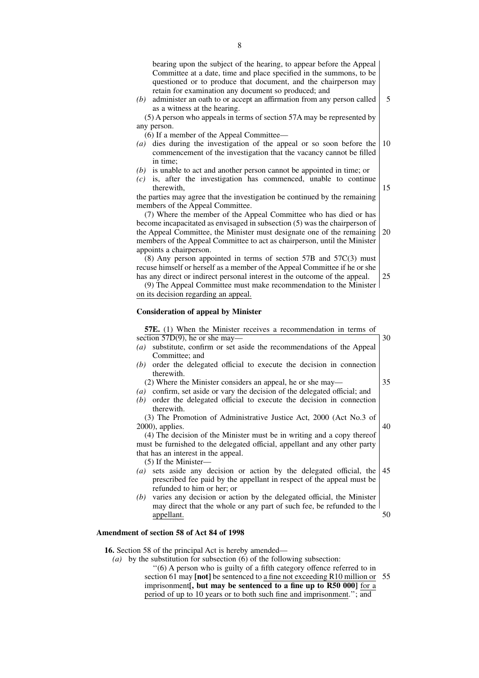| bearing upon the subject of the hearing, to appear before the Appeal                        |
|---------------------------------------------------------------------------------------------|
| Committee at a date, time and place specified in the summons, to be                         |
| questioned or to produce that document, and the chairperson may                             |
| retain for examination any document so produced; and                                        |
| administer an oath to or accept an affirmation from any person called<br>(b)                |
| as a witness at the hearing.                                                                |
| (5) A person who appeals in terms of section 57A may be represented by                      |
| any person.                                                                                 |
| (6) If a member of the Appeal Committee—                                                    |
| dies during the investigation of the appeal or so soon before the<br>$\left(a\right)$       |
| commencement of the investigation that the vacancy cannot be filled                         |
| in time:                                                                                    |
| is unable to act and another person cannot be appointed in time; or<br>(b)                  |
| is, after the investigation has commenced, unable to continue<br>(c)                        |
| therewith.                                                                                  |
| the parties may agree that the investigation be continued by the remaining                  |
|                                                                                             |
| members of the Appeal Committee.                                                            |
| (7) Where the member of the Appeal Committee who has died or has                            |
| become incapacitated as envisaged in subsection (5) was the chairperson of                  |
| the Appeal Committee, the Minister must designate one of the remaining                      |
| members of the Appeal Committee to act as chairperson, until the Minister                   |
| appoints a chairperson.                                                                     |
| $(8)$ Any person appointed in terms of section 57B and 57C $(3)$ must                       |
| recuse himself or herself as a member of the Appeal Committee if he or she                  |
| has any direct or indirect personal interest in the outcome of the appeal.                  |
| (9) The Appeal Committee must make recommendation to the Minister                           |
| on its decision regarding an appeal.                                                        |
|                                                                                             |
| <b>Consideration of appeal by Minister</b>                                                  |
|                                                                                             |
| 57E. (1) When the Minister receives a recommendation in terms of                            |
| section $57D(9)$ , he or she may-                                                           |
| substitute, confirm or set aside the recommendations of the Appeal<br>(a)                   |
| Committee; and                                                                              |
| order the delegated official to execute the decision in connection<br>(b)                   |
| therewith.                                                                                  |
| (2) Where the Minister considers an appeal, he or she may—                                  |
| confirm, set aside or vary the decision of the delegated official; and<br>$\left( a\right)$ |
| order the delegated official to execute the decision in connection<br>(b)                   |
| therewith.                                                                                  |
| (3) The Promotion of Administrative Justice Act, 2000 (Act No.3 of                          |
| $2000$ , applies.                                                                           |
| (4) The decision of the Minister must be in writing and a copy thereof                      |
| must be furnished to the delegated official, appellant and any other party                  |
|                                                                                             |
|                                                                                             |
|                                                                                             |
| that has an interest in the appeal.                                                         |
| (5) If the Minister-                                                                        |
| (a) sets eside eny decision or ection by the delegated official the                         |

- *(a)* sets aside any decision or action by the delegated official, the prescribed fee paid by the appellant in respect of the appeal must be refunded to him or her; or 45
- *(b)* varies any decision or action by the delegated official, the Minister may direct that the whole or any part of such fee, be refunded to the appellant. 50

#### **Amendment of section 58 of Act 84 of 1998**

**16.** Section 58 of the principal Act is hereby amended—

*(a)* by the substitution for subsection (6) of the following subsection:

''(6) A person who is guilty of a fifth category offence referred to in section 61 may **[not]** be sentenced to a fine not exceeding R10 million or imprisonment**[, but may be sentenced to a fine up to R50 000]** for a period of up to 10 years or to both such fine and imprisonment.''; and 55

15

20

25

5

10

30

35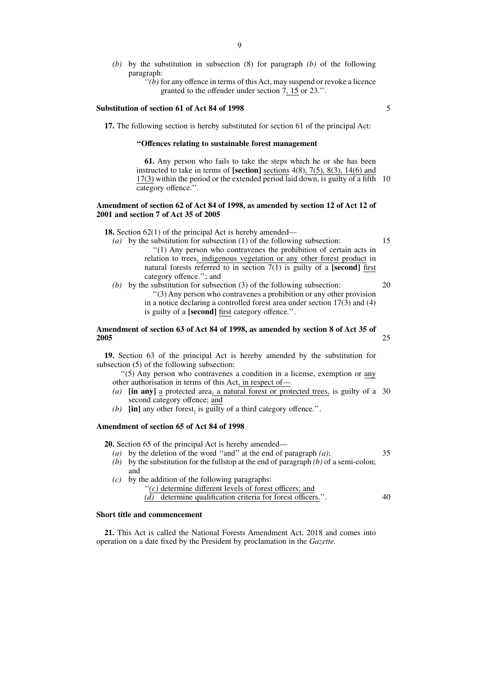- *(b)* by the substitution in subsection (8) for paragraph *(b)* of the following paragraph:
	- ''*(b)* for any offence in terms of this Act, may suspend or revoke a licence granted to the offender under section 7, 15 or 23.''.

#### **Substitution of section 61 of Act 84 of 1998**

**17.** The following section is hereby substituted for section 61 of the principal Act:

#### **''Offences relating to sustainable forest management**

**61.** Any person who fails to take the steps which he or she has been instructed to take in terms of **[section]** sections 4(8), 7(5), 8(3), 14(6) and  $17(3)$  within the period or the extended period laid down, is guilty of a fifth 10 category offence.''.

#### **Amendment of section 62 of Act 84 of 1998, as amended by section 12 of Act 12 of 2001 and section 7 of Act 35 of 2005**

**18.** Section 62(1) of the principal Act is hereby amended—

- *(a)* by the substitution for subsection (1) of the following subsection: ''(1) Any person who contravenes the prohibition of certain acts in relation to trees, indigenous vegetation or any other forest product in natural forests referred to in section  $7(1)$  is guilty of a **[second]** first category offence.''; and 15
- *(b)* by the substitution for subsection (3) of the following subsection: ''(3) Any person who contravenes a prohibition or any other provision in a notice declaring a controlled forest area under section  $17(3)$  and  $(4)$ is guilty of a **[second]** first category offence.''. 20

#### **Amendment of section 63 of Act 84 of 1998, as amended by section 8 of Act 35 of 2005** 25

**19.** Section 63 of the principal Act is hereby amended by the substitution for subsection (5) of the following subsection:

''(5) Any person who contravenes a condition in a license, exemption or any other authorisation in terms of this Act, in respect of—

- *(a)* **[in any]** a protected area, a natural forest or protected trees, is guilty of a 30 second category offence; and
- *(b)* **[in]** any other forest, is guilty of a third category offence.''.

#### **Amendment of section 65 of Act 84 of 1998**

**20.** Section 65 of the principal Act is hereby amended—

- *(a)* by the deletion of the word ''and'' at the end of paragraph *(a)*;
- *(b)* by the substitution for the fullstop at the end of paragraph *(b)* of a semi-colon; and

*(c)* by the addition of the following paragraphs:

''*(c)* determine different levels of forest officers; and *(d)* determine qualification criteria for forest officers.''. 40

#### **Short title and commencement**

**21.** This Act is called the National Forests Amendment Act, 2018 and comes into operation on a date fixed by the President by proclamation in the *Gazette.*

5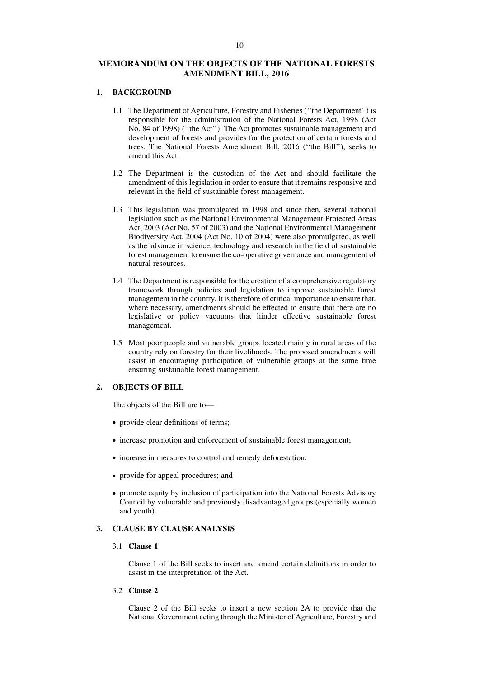# **MEMORANDUM ON THE OBJECTS OF THE NATIONAL FORESTS AMENDMENT BILL, 2016**

### **1. BACKGROUND**

- 1.1 The Department of Agriculture, Forestry and Fisheries (''the Department'') is responsible for the administration of the National Forests Act, 1998 (Act No. 84 of 1998) (''the Act''). The Act promotes sustainable management and development of forests and provides for the protection of certain forests and trees. The National Forests Amendment Bill, 2016 (''the Bill''), seeks to amend this Act.
- 1.2 The Department is the custodian of the Act and should facilitate the amendment of this legislation in order to ensure that it remains responsive and relevant in the field of sustainable forest management.
- 1.3 This legislation was promulgated in 1998 and since then, several national legislation such as the National Environmental Management Protected Areas Act, 2003 (Act No. 57 of 2003) and the National Environmental Management Biodiversity Act, 2004 (Act No. 10 of 2004) were also promulgated, as well as the advance in science, technology and research in the field of sustainable forest management to ensure the co-operative governance and management of natural resources.
- 1.4 The Department is responsible for the creation of a comprehensive regulatory framework through policies and legislation to improve sustainable forest management in the country. It is therefore of critical importance to ensure that, where necessary, amendments should be effected to ensure that there are no legislative or policy vacuums that hinder effective sustainable forest management.
- 1.5 Most poor people and vulnerable groups located mainly in rural areas of the country rely on forestry for their livelihoods. The proposed amendments will assist in encouraging participation of vulnerable groups at the same time ensuring sustainable forest management.

# **2. OBJECTS OF BILL**

The objects of the Bill are to—

- provide clear definitions of terms;
- increase promotion and enforcement of sustainable forest management;
- increase in measures to control and remedy deforestation;
- provide for appeal procedures; and
- promote equity by inclusion of participation into the National Forests Advisory Council by vulnerable and previously disadvantaged groups (especially women and youth).

# **3. CLAUSE BY CLAUSE ANALYSIS**

# 3.1 **Clause 1**

Clause 1 of the Bill seeks to insert and amend certain definitions in order to assist in the interpretation of the Act.

3.2 **Clause 2**

Clause 2 of the Bill seeks to insert a new section 2A to provide that the National Government acting through the Minister of Agriculture, Forestry and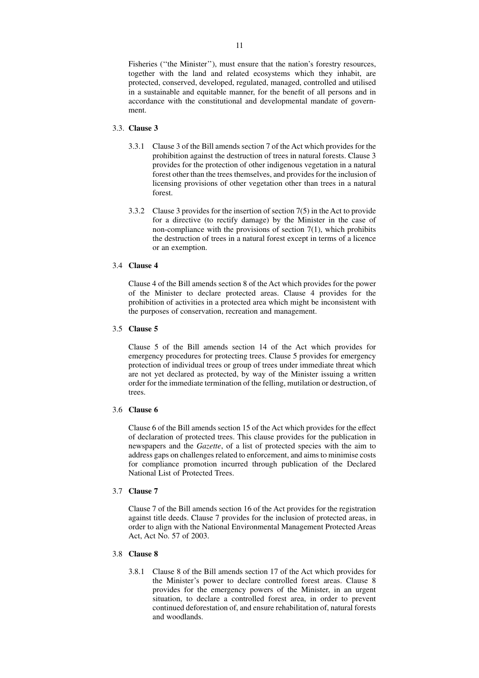Fisheries (''the Minister''), must ensure that the nation's forestry resources, together with the land and related ecosystems which they inhabit, are protected, conserved, developed, regulated, managed, controlled and utilised in a sustainable and equitable manner, for the benefit of all persons and in accordance with the constitutional and developmental mandate of government.

#### 3.3. **Clause 3**

- 3.3.1 Clause 3 of the Bill amends section 7 of the Act which provides for the prohibition against the destruction of trees in natural forests. Clause 3 provides for the protection of other indigenous vegetation in a natural forest other than the trees themselves, and provides for the inclusion of licensing provisions of other vegetation other than trees in a natural forest.
- 3.3.2 Clause 3 provides for the insertion of section 7(5) in the Act to provide for a directive (to rectify damage) by the Minister in the case of non-compliance with the provisions of section  $7(1)$ , which prohibits the destruction of trees in a natural forest except in terms of a licence or an exemption.

#### 3.4 **Clause 4**

Clause 4 of the Bill amends section 8 of the Act which provides for the power of the Minister to declare protected areas. Clause 4 provides for the prohibition of activities in a protected area which might be inconsistent with the purposes of conservation, recreation and management.

# 3.5 **Clause 5**

Clause 5 of the Bill amends section 14 of the Act which provides for emergency procedures for protecting trees. Clause 5 provides for emergency protection of individual trees or group of trees under immediate threat which are not yet declared as protected, by way of the Minister issuing a written order for the immediate termination of the felling, mutilation or destruction, of trees.

# 3.6 **Clause 6**

Clause 6 of the Bill amends section 15 of the Act which provides for the effect of declaration of protected trees. This clause provides for the publication in newspapers and the *Gazette*, of a list of protected species with the aim to address gaps on challenges related to enforcement, and aims to minimise costs for compliance promotion incurred through publication of the Declared National List of Protected Trees.

# 3.7 **Clause 7**

Clause 7 of the Bill amends section 16 of the Act provides for the registration against title deeds. Clause 7 provides for the inclusion of protected areas, in order to align with the National Environmental Management Protected Areas Act, Act No. 57 of 2003.

# 3.8 **Clause 8**

3.8.1 Clause 8 of the Bill amends section 17 of the Act which provides for the Minister's power to declare controlled forest areas. Clause 8 provides for the emergency powers of the Minister, in an urgent situation, to declare a controlled forest area, in order to prevent continued deforestation of, and ensure rehabilitation of, natural forests and woodlands.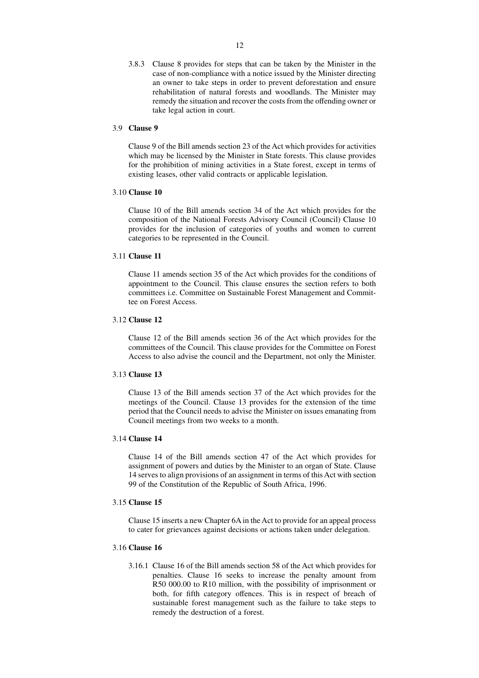3.8.3 Clause 8 provides for steps that can be taken by the Minister in the case of non-compliance with a notice issued by the Minister directing an owner to take steps in order to prevent deforestation and ensure rehabilitation of natural forests and woodlands. The Minister may remedy the situation and recover the costs from the offending owner or take legal action in court.

#### 3.9 **Clause 9**

Clause 9 of the Bill amends section 23 of the Act which provides for activities which may be licensed by the Minister in State forests. This clause provides for the prohibition of mining activities in a State forest, except in terms of existing leases, other valid contracts or applicable legislation.

# 3.10 **Clause 10**

Clause 10 of the Bill amends section 34 of the Act which provides for the composition of the National Forests Advisory Council (Council) Clause 10 provides for the inclusion of categories of youths and women to current categories to be represented in the Council.

# 3.11 **Clause 11**

Clause 11 amends section 35 of the Act which provides for the conditions of appointment to the Council. This clause ensures the section refers to both committees i.e. Committee on Sustainable Forest Management and Committee on Forest Access.

# 3.12 **Clause 12**

Clause 12 of the Bill amends section 36 of the Act which provides for the committees of the Council. This clause provides for the Committee on Forest Access to also advise the council and the Department, not only the Minister.

#### 3.13 **Clause 13**

Clause 13 of the Bill amends section 37 of the Act which provides for the meetings of the Council. Clause 13 provides for the extension of the time period that the Council needs to advise the Minister on issues emanating from Council meetings from two weeks to a month.

# 3.14 **Clause 14**

Clause 14 of the Bill amends section 47 of the Act which provides for assignment of powers and duties by the Minister to an organ of State. Clause 14 serves to align provisions of an assignment in terms of this Act with section 99 of the Constitution of the Republic of South Africa, 1996.

# 3.15 **Clause 15**

Clause 15 inserts a new Chapter 6A in the Act to provide for an appeal process to cater for grievances against decisions or actions taken under delegation.

# 3.16 **Clause 16**

3.16.1 Clause 16 of the Bill amends section 58 of the Act which provides for penalties. Clause 16 seeks to increase the penalty amount from R50 000.00 to R10 million, with the possibility of imprisonment or both, for fifth category offences. This is in respect of breach of sustainable forest management such as the failure to take steps to remedy the destruction of a forest.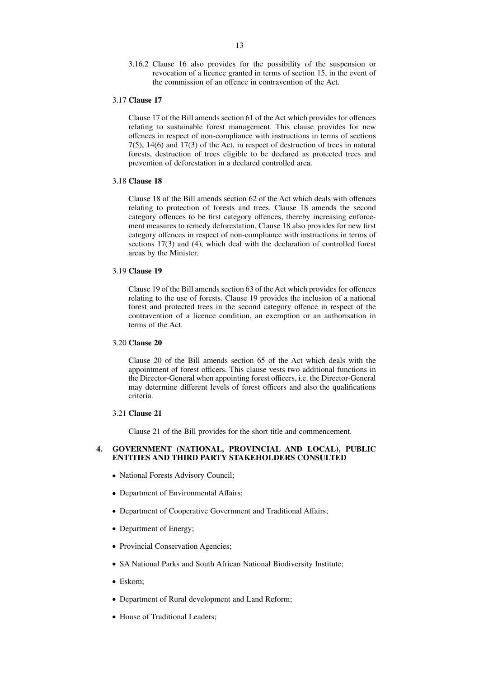3.16.2 Clause 16 also provides for the possibility of the suspension or revocation of a licence granted in terms of section 15, in the event of the commission of an offence in contravention of the Act.

#### 3.17 **Clause 17**

Clause 17 of the Bill amends section 61 of the Act which provides for offences relating to sustainable forest management. This clause provides for new offences in respect of non-compliance with instructions in terms of sections 7(5), 14(6) and 17(3) of the Act, in respect of destruction of trees in natural forests, destruction of trees eligible to be declared as protected trees and prevention of deforestation in a declared controlled area.

#### 3.18 **Clause 18**

Clause 18 of the Bill amends section 62 of the Act which deals with offences relating to protection of forests and trees. Clause 18 amends the second category offences to be first category offences, thereby increasing enforcement measures to remedy deforestation. Clause 18 also provides for new first category offences in respect of non-compliance with instructions in terms of sections 17(3) and (4), which deal with the declaration of controlled forest areas by the Minister.

# 3.19 **Clause 19**

Clause 19 of the Bill amends section 63 of the Act which provides for offences relating to the use of forests. Clause 19 provides the inclusion of a national forest and protected trees in the second category offence in respect of the contravention of a licence condition, an exemption or an authorisation in terms of the Act.

### 3.20 **Clause 20**

Clause 20 of the Bill amends section 65 of the Act which deals with the appointment of forest officers. This clause vests two additional functions in the Director-General when appointing forest officers, i.e. the Director-General may determine different levels of forest officers and also the qualifications criteria.

#### 3.21 **Clause 21**

Clause 21 of the Bill provides for the short title and commencement.

# **4. GOVERNMENT (NATIONAL, PROVINCIAL AND LOCAL), PUBLIC ENTITIES AND THIRD PARTY STAKEHOLDERS CONSULTED**

- National Forests Advisory Council;
- Department of Environmental Affairs;
- Department of Cooperative Government and Traditional Affairs;
- Department of Energy;
- Provincial Conservation Agencies;
- SA National Parks and South African National Biodiversity Institute;
- Eskom;
- Department of Rural development and Land Reform;
- House of Traditional Leaders;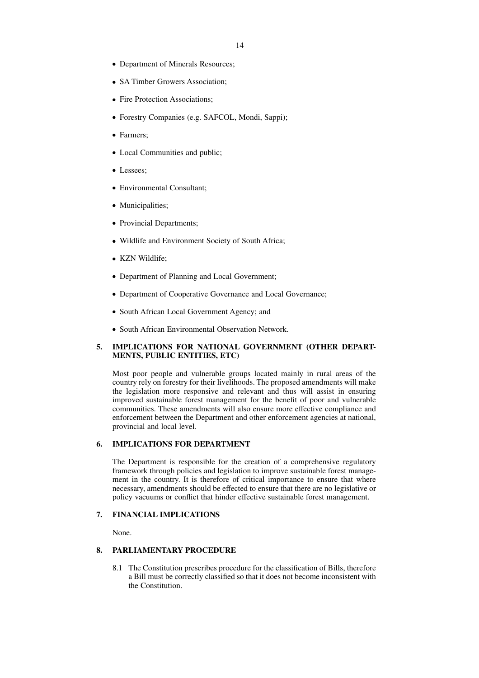- Department of Minerals Resources;
- SA Timber Growers Association;
- Fire Protection Associations;
- Forestry Companies (e.g. SAFCOL, Mondi, Sappi);
- Farmers;
- Local Communities and public;
- Lessees;
- Environmental Consultant;
- Municipalities;
- Provincial Departments;
- Wildlife and Environment Society of South Africa;
- KZN Wildlife;
- Department of Planning and Local Government;
- Department of Cooperative Governance and Local Governance;
- South African Local Government Agency; and
- South African Environmental Observation Network.

# **5. IMPLICATIONS FOR NATIONAL GOVERNMENT (OTHER DEPART-MENTS, PUBLIC ENTITIES, ETC)**

Most poor people and vulnerable groups located mainly in rural areas of the country rely on forestry for their livelihoods. The proposed amendments will make the legislation more responsive and relevant and thus will assist in ensuring improved sustainable forest management for the benefit of poor and vulnerable communities. These amendments will also ensure more effective compliance and enforcement between the Department and other enforcement agencies at national, provincial and local level.

# **6. IMPLICATIONS FOR DEPARTMENT**

The Department is responsible for the creation of a comprehensive regulatory framework through policies and legislation to improve sustainable forest management in the country. It is therefore of critical importance to ensure that where necessary, amendments should be effected to ensure that there are no legislative or policy vacuums or conflict that hinder effective sustainable forest management.

### **7. FINANCIAL IMPLICATIONS**

None.

# **8. PARLIAMENTARY PROCEDURE**

8.1 The Constitution prescribes procedure for the classification of Bills, therefore a Bill must be correctly classified so that it does not become inconsistent with the Constitution.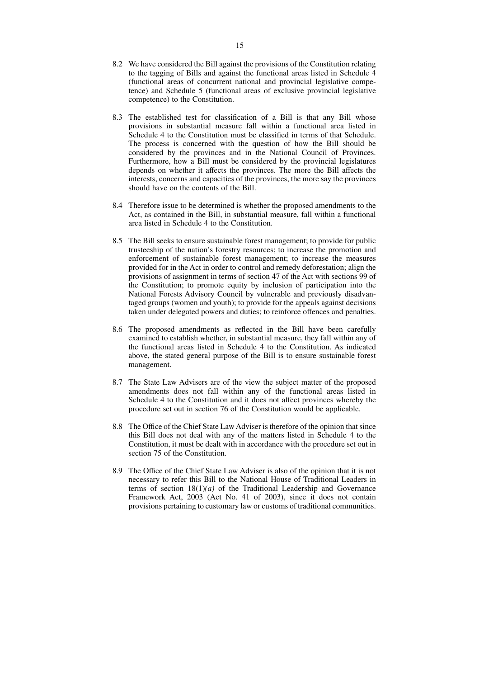- 8.2 We have considered the Bill against the provisions of the Constitution relating to the tagging of Bills and against the functional areas listed in Schedule 4 (functional areas of concurrent national and provincial legislative competence) and Schedule 5 (functional areas of exclusive provincial legislative competence) to the Constitution.
- 8.3 The established test for classification of a Bill is that any Bill whose provisions in substantial measure fall within a functional area listed in Schedule 4 to the Constitution must be classified in terms of that Schedule. The process is concerned with the question of how the Bill should be considered by the provinces and in the National Council of Provinces. Furthermore, how a Bill must be considered by the provincial legislatures depends on whether it affects the provinces. The more the Bill affects the interests, concerns and capacities of the provinces, the more say the provinces should have on the contents of the Bill.
- 8.4 Therefore issue to be determined is whether the proposed amendments to the Act, as contained in the Bill, in substantial measure, fall within a functional area listed in Schedule 4 to the Constitution.
- 8.5 The Bill seeks to ensure sustainable forest management; to provide for public trusteeship of the nation's forestry resources; to increase the promotion and enforcement of sustainable forest management; to increase the measures provided for in the Act in order to control and remedy deforestation; align the provisions of assignment in terms of section 47 of the Act with sections 99 of the Constitution; to promote equity by inclusion of participation into the National Forests Advisory Council by vulnerable and previously disadvantaged groups (women and youth); to provide for the appeals against decisions taken under delegated powers and duties; to reinforce offences and penalties.
- 8.6 The proposed amendments as reflected in the Bill have been carefully examined to establish whether, in substantial measure, they fall within any of the functional areas listed in Schedule 4 to the Constitution. As indicated above, the stated general purpose of the Bill is to ensure sustainable forest management.
- 8.7 The State Law Advisers are of the view the subject matter of the proposed amendments does not fall within any of the functional areas listed in Schedule 4 to the Constitution and it does not affect provinces whereby the procedure set out in section 76 of the Constitution would be applicable.
- 8.8 The Office of the Chief State Law Adviser is therefore of the opinion that since this Bill does not deal with any of the matters listed in Schedule 4 to the Constitution, it must be dealt with in accordance with the procedure set out in section 75 of the Constitution.
- 8.9 The Office of the Chief State Law Adviser is also of the opinion that it is not necessary to refer this Bill to the National House of Traditional Leaders in terms of section  $18(1)(a)$  of the Traditional Leadership and Governance Framework Act, 2003 (Act No. 41 of 2003), since it does not contain provisions pertaining to customary law or customs of traditional communities.